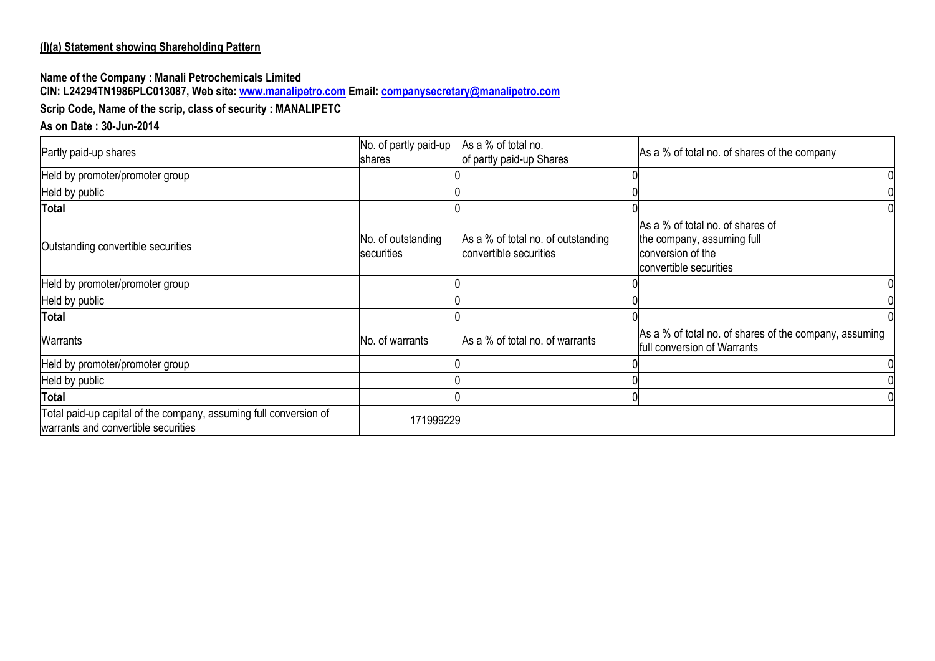#### **(I)(a) Statement showing Shareholding Pattern**

#### **Name of the Company : Manali Petrochemicals Limited CIN: L24294TN1986PLC013087, Web site[: www.manalipetro.com](http://www.manalipetro.com/) Email: [companysecretary@manalipetro.com](mailto:companysecretary@manalipetro.com)**

# **Scrip Code, Name of the scrip, class of security : MANALIPETC**

# **As on Date : 30-Jun-2014**

| Partly paid-up shares                                                                                    | No. of partly paid-up<br>shares  | As a % of total no.<br>of partly paid-up Shares              | As a % of total no. of shares of the company                                                                  |
|----------------------------------------------------------------------------------------------------------|----------------------------------|--------------------------------------------------------------|---------------------------------------------------------------------------------------------------------------|
| Held by promoter/promoter group                                                                          |                                  |                                                              |                                                                                                               |
| Held by public                                                                                           |                                  |                                                              |                                                                                                               |
| Total                                                                                                    |                                  |                                                              |                                                                                                               |
| Outstanding convertible securities                                                                       | No. of outstanding<br>securities | As a % of total no. of outstanding<br>convertible securities | As a % of total no. of shares of<br>the company, assuming full<br>conversion of the<br>convertible securities |
| Held by promoter/promoter group                                                                          |                                  |                                                              |                                                                                                               |
| Held by public                                                                                           |                                  |                                                              |                                                                                                               |
| Total                                                                                                    |                                  |                                                              |                                                                                                               |
| <b>Warrants</b>                                                                                          | No. of warrants                  | As a % of total no. of warrants                              | As a % of total no. of shares of the company, assuming<br>full conversion of Warrants                         |
| Held by promoter/promoter group                                                                          |                                  |                                                              |                                                                                                               |
| Held by public                                                                                           |                                  |                                                              |                                                                                                               |
| Total                                                                                                    |                                  |                                                              |                                                                                                               |
| Total paid-up capital of the company, assuming full conversion of<br>warrants and convertible securities | 171999229                        |                                                              |                                                                                                               |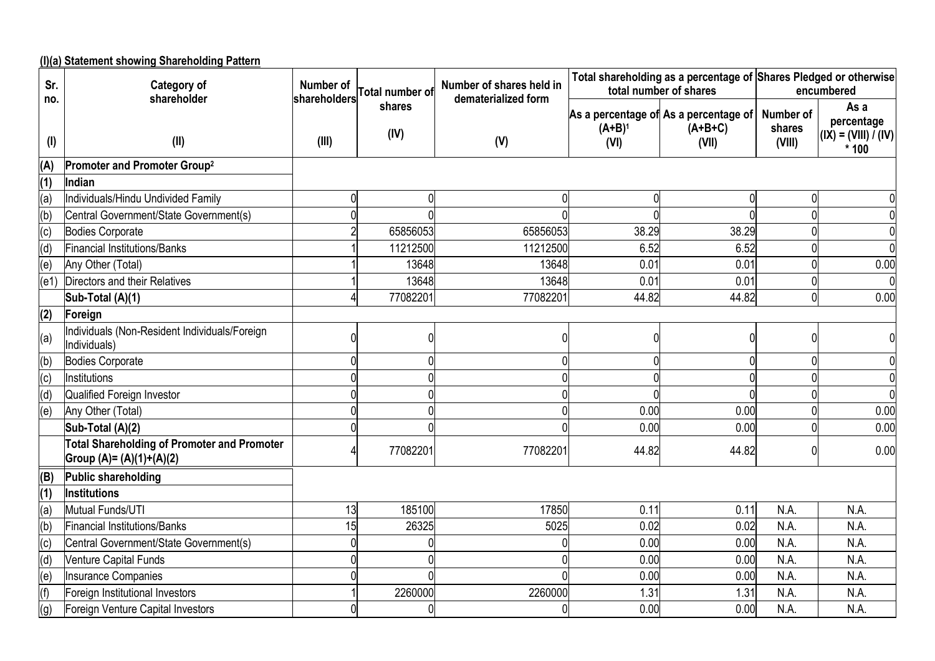**(I)(a) Statement showing Shareholding Pattern**

| Sr.        | Category of<br>shareholder                                                     | Number of<br>shareholders | <b>Total number of</b> | Number of shares held in<br>dematerialized form | Total shareholding as a percentage of Shares Pledged or otherwise<br>total number of shares |                                                             |                                      | encumbered                                             |  |
|------------|--------------------------------------------------------------------------------|---------------------------|------------------------|-------------------------------------------------|---------------------------------------------------------------------------------------------|-------------------------------------------------------------|--------------------------------------|--------------------------------------------------------|--|
| no.<br>(1) | (II)                                                                           | (III)                     | shares<br>(IV)         | (V)                                             | $(A+B)^1$<br>(VI)                                                                           | As a percentage of As a percentage of<br>$(A+B+C)$<br>(VII) | <b>Number of</b><br>shares<br>(VIII) | As a<br>percentage<br>$(IX) = (VIII) / (IV)$<br>$*100$ |  |
| (A)        | Promoter and Promoter Group <sup>2</sup>                                       |                           |                        |                                                 |                                                                                             |                                                             |                                      |                                                        |  |
| (1)        | Indian                                                                         |                           |                        |                                                 |                                                                                             |                                                             |                                      |                                                        |  |
| (a)        | Individuals/Hindu Undivided Family                                             |                           | 0                      |                                                 |                                                                                             |                                                             | 0                                    |                                                        |  |
| (b)        | Central Government/State Government(s)                                         |                           |                        |                                                 |                                                                                             |                                                             | $\Omega$                             |                                                        |  |
| (c)        | Bodies Corporate                                                               |                           | 65856053               | 65856053                                        | 38.29                                                                                       | 38.29                                                       |                                      |                                                        |  |
| (d)        | Financial Institutions/Banks                                                   |                           | 11212500               | 11212500                                        | 6.52                                                                                        | 6.52                                                        |                                      |                                                        |  |
| (e)        | Any Other (Total)                                                              |                           | 13648                  | 13648                                           | 0.01                                                                                        | 0.01                                                        |                                      | 0.00                                                   |  |
| (e1)       | Directors and their Relatives                                                  |                           | 13648                  | 13648                                           | 0.01                                                                                        | 0.01                                                        |                                      |                                                        |  |
|            | Sub-Total (A)(1)                                                               |                           | 77082201               | 77082201                                        | 44.82                                                                                       | 44.82                                                       | $\Omega$                             | 0.00                                                   |  |
| (2)        | Foreign                                                                        |                           |                        |                                                 |                                                                                             |                                                             |                                      |                                                        |  |
| (a)        | Individuals (Non-Resident Individuals/Foreign<br>Individuals)                  | 0                         |                        | n                                               |                                                                                             |                                                             | 0                                    |                                                        |  |
| (b)        | Bodies Corporate                                                               |                           |                        |                                                 |                                                                                             |                                                             |                                      |                                                        |  |
| (c)        | Institutions                                                                   |                           |                        |                                                 |                                                                                             |                                                             |                                      |                                                        |  |
| (d)        | Qualified Foreign Investor                                                     |                           |                        |                                                 |                                                                                             |                                                             |                                      |                                                        |  |
| (e)        | Any Other (Total)                                                              |                           |                        | $\Box$                                          | 0.00                                                                                        | 0.00                                                        |                                      | 0.00                                                   |  |
|            | Sub-Total (A)(2)                                                               |                           |                        |                                                 | 0.00                                                                                        | 0.00                                                        |                                      | 0.00                                                   |  |
|            | <b>Total Shareholding of Promoter and Promoter</b><br>Group (A)= (A)(1)+(A)(2) |                           | 77082201               | 77082201                                        | 44.82                                                                                       | 44.82                                                       |                                      | 0.00                                                   |  |
| (B)        | Public shareholding                                                            |                           |                        |                                                 |                                                                                             |                                                             |                                      |                                                        |  |
| (1)        | <b>Institutions</b>                                                            |                           |                        |                                                 |                                                                                             |                                                             |                                      |                                                        |  |
| (a)        | Mutual Funds/UTI                                                               | 13                        | 185100                 | 17850                                           | 0.11                                                                                        | 0.11                                                        | N.A.                                 | N.A.                                                   |  |
| (b)        | Financial Institutions/Banks                                                   | 15                        | 26325                  | 5025                                            | 0.02                                                                                        | 0.02                                                        | N.A.                                 | N.A.                                                   |  |
| (c)        | Central Government/State Government(s)                                         |                           |                        |                                                 | 0.00                                                                                        | 0.00                                                        | N.A.                                 | N.A.                                                   |  |
| (d)        | <b>Venture Capital Funds</b>                                                   |                           |                        |                                                 | 0.00                                                                                        | 0.00                                                        | N.A.                                 | N.A.                                                   |  |
| (e)        | <b>Insurance Companies</b>                                                     |                           |                        |                                                 | 0.00                                                                                        | 0.00                                                        | N.A.                                 | N.A.                                                   |  |
| (f)        | Foreign Institutional Investors                                                |                           | 2260000                | 2260000                                         | 1.31                                                                                        | 1.31                                                        | N.A.                                 | N.A.                                                   |  |
| (g)        | Foreign Venture Capital Investors                                              |                           |                        |                                                 | 0.00                                                                                        | 0.00                                                        | N.A.                                 | N.A.                                                   |  |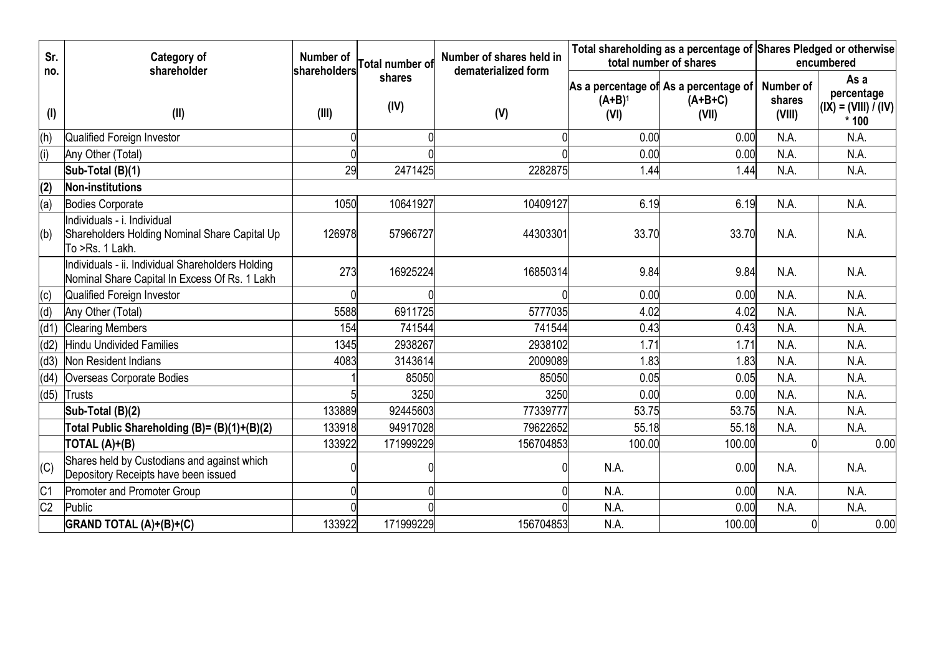| Sr.             | Category of                                                                                        | Number of    |                        | Number of shares held in |                        | Total shareholding as a percentage of Shares Pledged or otherwise |                               |                                                                      |  |
|-----------------|----------------------------------------------------------------------------------------------------|--------------|------------------------|--------------------------|------------------------|-------------------------------------------------------------------|-------------------------------|----------------------------------------------------------------------|--|
| no.             | shareholder                                                                                        | shareholders | <b>Total number of</b> | dematerialized form      | total number of shares |                                                                   |                               | encumbered                                                           |  |
| $($ l $)$       | (II)                                                                                               | (III)        | shares<br>(IV)         | (V)                      | $(A+B)^1$<br>(VI)      | As a percentage of As a percentage of<br>$(A+B+C)$<br>(VII)       | Number of<br>shares<br>(VIII) | As a<br>percentage<br>$\vert$ (IX) = (VIII) / (IV) $\vert$<br>$*100$ |  |
| (h)             | Qualified Foreign Investor                                                                         |              |                        |                          | 0.00                   | 0.00                                                              | N.A.                          | N.A.                                                                 |  |
| (i)             | Any Other (Total)                                                                                  |              |                        |                          | 0.00                   | 0.00                                                              | N.A.                          | N.A.                                                                 |  |
|                 | Sub-Total (B)(1)                                                                                   | 29           | 2471425                | 2282875                  | 1.44                   | 1.44                                                              | N.A.                          | N.A.                                                                 |  |
| (2)             | Non-institutions                                                                                   |              |                        |                          |                        |                                                                   |                               |                                                                      |  |
| (a)             | <b>Bodies Corporate</b>                                                                            | 1050         | 10641927               | 10409127                 | 6.19                   | 6.19                                                              | N.A.                          | N.A.                                                                 |  |
| (b)             | Individuals - i. Individual<br>Shareholders Holding Nominal Share Capital Up<br>To >Rs. 1 Lakh.    | 126978       | 57966727               | 44303301                 | 33.70                  | 33.70                                                             | N.A.                          | N.A.                                                                 |  |
|                 | Individuals - ii. Individual Shareholders Holding<br>Nominal Share Capital In Excess Of Rs. 1 Lakh | 273          | 16925224               | 16850314                 | 9.84                   | 9.84                                                              | N.A.                          | N.A.                                                                 |  |
| (c)             | Qualified Foreign Investor                                                                         |              |                        |                          | 0.00                   | 0.00                                                              | N.A.                          | N.A.                                                                 |  |
| (d)             | Any Other (Total)                                                                                  | 5588         | 6911725                | 5777035                  | 4.02                   | 4.02                                                              | N.A.                          | N.A.                                                                 |  |
| (d1)            | <b>Clearing Members</b>                                                                            | 154          | 741544                 | 741544                   | 0.43                   | 0.43                                                              | N.A.                          | N.A.                                                                 |  |
| (d2)            | Hindu Undivided Families                                                                           | 1345         | 2938267                | 2938102                  | 1.71                   | 1.71                                                              | N.A.                          | N.A.                                                                 |  |
| (d3)            | Non Resident Indians                                                                               | 4083         | 3143614                | 2009089                  | 1.83                   | 1.83                                                              | N.A.                          | N.A.                                                                 |  |
| (d4)            | Overseas Corporate Bodies                                                                          |              | 85050                  | 85050                    | 0.05                   | 0.05                                                              | N.A.                          | N.A.                                                                 |  |
| (d5)            | Trusts                                                                                             |              | 3250                   | 3250                     | 0.00                   | 0.00                                                              | N.A.                          | N.A.                                                                 |  |
|                 | Sub-Total (B)(2)                                                                                   | 133889       | 92445603               | 77339777                 | 53.75                  | 53.75                                                             | N.A.                          | N.A.                                                                 |  |
|                 | Total Public Shareholding (B)= (B)(1)+(B)(2)                                                       | 133918       | 94917028               | 79622652                 | 55.18                  | 55.18                                                             | N.A.                          | N.A.                                                                 |  |
|                 | TOTAL (A)+(B)                                                                                      | 133922       | 171999229              | 156704853                | 100.00                 | 100.00                                                            |                               | 0.00                                                                 |  |
| (C)             | Shares held by Custodians and against which<br>Depository Receipts have been issued                |              |                        |                          | N.A.                   | 0.00                                                              | N.A.                          | N.A.                                                                 |  |
| $\overline{C}$  | Promoter and Promoter Group                                                                        |              |                        |                          | N.A.                   | 0.00                                                              | N.A.                          | N.A.                                                                 |  |
| $\overline{C2}$ | Public                                                                                             |              |                        |                          | N.A.                   | 0.00                                                              | N.A.                          | N.A.                                                                 |  |
|                 | GRAND TOTAL (A)+(B)+(C)                                                                            | 133922       | 171999229              | 156704853                | N.A.                   | 100.00                                                            |                               | 0.00                                                                 |  |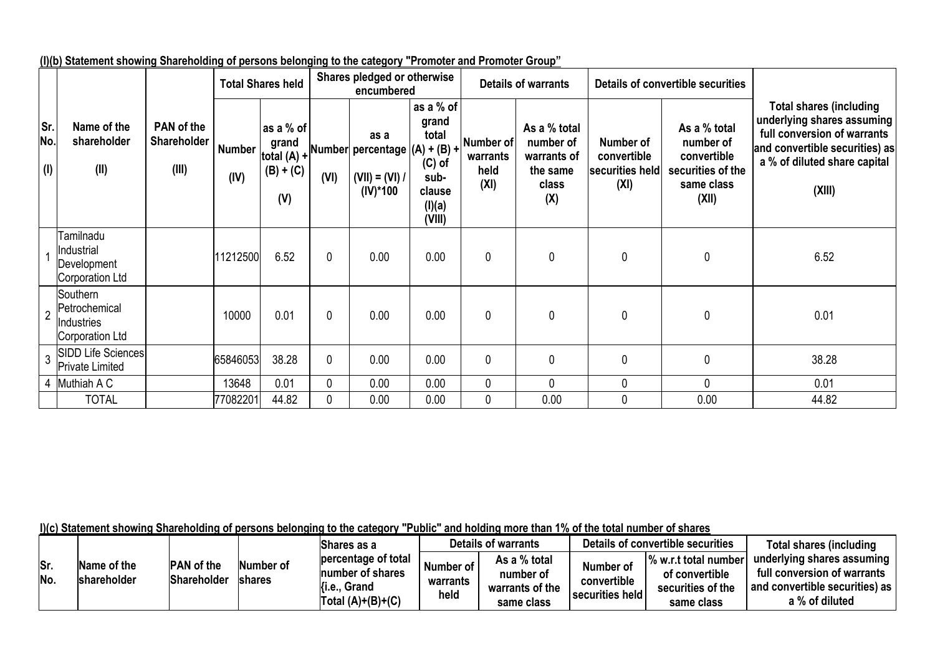|                   |                                                            |                                           |                       | <b>Total Shares held</b>                                  | Shares pledged or otherwise<br>encumbered |                                                                             | <b>Details of warrants</b>                                                    |                                       | Details of convertible securities                                           |                                                     |                                                                                      |                                                                                                                                                                         |
|-------------------|------------------------------------------------------------|-------------------------------------------|-----------------------|-----------------------------------------------------------|-------------------------------------------|-----------------------------------------------------------------------------|-------------------------------------------------------------------------------|---------------------------------------|-----------------------------------------------------------------------------|-----------------------------------------------------|--------------------------------------------------------------------------------------|-------------------------------------------------------------------------------------------------------------------------------------------------------------------------|
| Sr.<br>No.<br>(1) | Name of the<br>shareholder<br>(II)                         | PAN of the<br><b>Shareholder</b><br>(III) | <b>Number</b><br>(IV) | as a % of<br>grand<br>total $(A)$ +<br>$(B) + (C)$<br>(V) | (VI)                                      | as a<br>Number percentage $(A) + (B) +$<br>$(VII) = (VI) /$<br>$(IV)^*$ 100 | as a % of<br>grand<br>total<br>$(C)$ of<br>sub-<br>clause<br>(I)(a)<br>(VIII) | Number of<br>warrants<br>held<br>(XI) | As a % total<br>number of<br>warrants of<br>the same<br><b>class</b><br>(X) | Number of<br>convertible<br>securities held<br>(XI) | As a % total<br>number of<br>convertible<br>securities of the<br>same class<br>(XII) | <b>Total shares (including</b><br>underlying shares assuming<br>full conversion of warrants<br>and convertible securities) as<br>a % of diluted share capital<br>(XIII) |
|                   | Tamilnadu<br>Industrial<br>Development<br>Corporation Ltd  |                                           | 11212500              | 6.52                                                      | $\mathbf{0}$                              | 0.00                                                                        | 0.00                                                                          | 0                                     | 0                                                                           | $\mathbf 0$                                         | 0                                                                                    | 6.52                                                                                                                                                                    |
| $\overline{2}$    | Southern<br>Petrochemical<br>Industries<br>Corporation Ltd |                                           | 10000                 | 0.01                                                      | 0                                         | 0.00                                                                        | 0.00                                                                          | 0                                     | $\mathbf 0$                                                                 | $\mathbf{0}$                                        | 0                                                                                    | 0.01                                                                                                                                                                    |
| 3                 | <b>SIDD Life Sciences</b><br>Private Limited               |                                           | 65846053              | 38.28                                                     | $\mathbf 0$                               | 0.00                                                                        | 0.00                                                                          | 0                                     | $\mathbf{0}$                                                                | $\mathbf 0$                                         | 0                                                                                    | 38.28                                                                                                                                                                   |
|                   | 4 Muthiah A C                                              |                                           | 13648                 | 0.01                                                      | $\mathbf{0}$                              | 0.00                                                                        | 0.00                                                                          | 0                                     | $\mathbf 0$                                                                 | 0                                                   | 0                                                                                    | 0.01                                                                                                                                                                    |
|                   | <b>TOTAL</b>                                               |                                           | 77082201              | 44.82                                                     | 0                                         | 0.00                                                                        | 0.00                                                                          | 0                                     | 0.00                                                                        | 0                                                   | 0.00                                                                                 | 44.82                                                                                                                                                                   |

**(I)(b) Statement showing Shareholding of persons belonging to the category "Promoter and Promoter Group"**

**I)(c) Statement showing Shareholding of persons belonging to the category "Public" and holding more than 1% of the total number of shares**

|            |                                   |                                         |                      | lShares as a                                                                       | <b>Details of warrants</b>    |                                                            |                                             | Details of convertible securities                                         | Total shares (including                                                                                         |
|------------|-----------------------------------|-----------------------------------------|----------------------|------------------------------------------------------------------------------------|-------------------------------|------------------------------------------------------------|---------------------------------------------|---------------------------------------------------------------------------|-----------------------------------------------------------------------------------------------------------------|
| Sr.<br>No. | Name of the<br><b>shareholder</b> | <b>PAN</b> of the<br><b>Shareholder</b> | Number of<br>Ishares | percentage of total<br>Inumber of shares<br>. Grand<br>{i.e.,<br>Total (A)+(B)+(C) | Number of<br>warrants<br>held | As a % total<br>number of<br>warrants of the<br>same class | Number of<br>convertible<br>securities held | % w.r.t total number<br>of convertible<br>securities of the<br>same class | underlying shares assuming<br>full conversion of warrants<br>and convertible securities) as  <br>a % of diluted |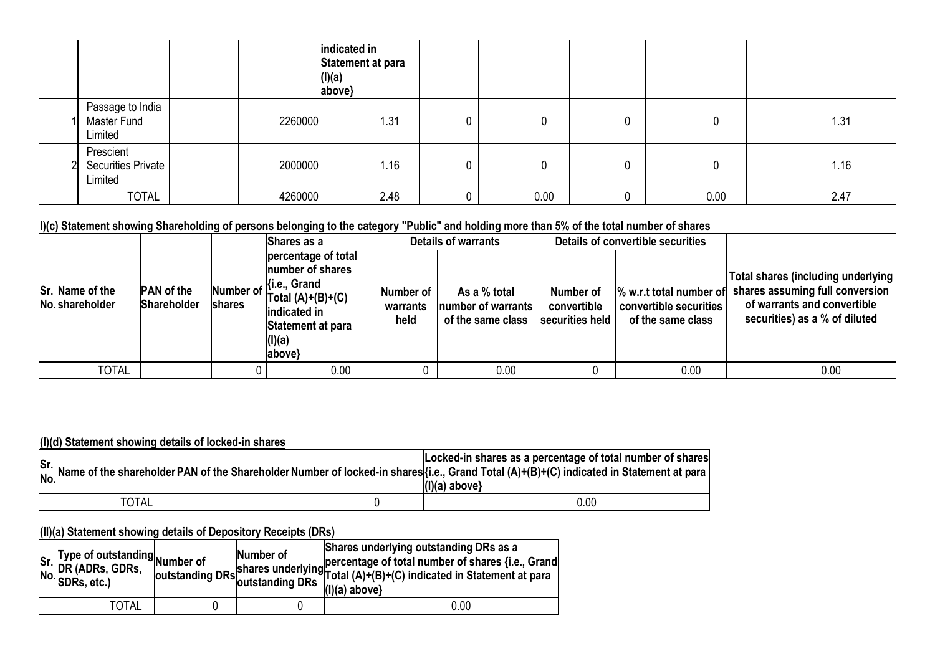|                                                   |         | indicated in<br>Statement at para<br>$\begin{array}{c} (I)(a) \\ (above) \end{array}$ |      |      |      |
|---------------------------------------------------|---------|---------------------------------------------------------------------------------------|------|------|------|
| Passage to India<br>Master Fund<br>Limited        | 2260000 | 1.31                                                                                  |      |      | 1.31 |
| Prescient<br><b>Securities Private</b><br>Limited | 2000000 | 1.16                                                                                  |      |      | 1.16 |
| <b>TOTAL</b>                                      | 4260000 | 2.48                                                                                  | 0.00 | 0.00 | 2.47 |

### **I)(c) Statement showing Shareholding of persons belonging to the category "Public" and holding more than 5% of the total number of shares**

|                                    |                                         | Shares as a                                                                                                                                                                     |                               | <b>Details of warrants</b>                              |                                             | Details of convertible securities                                      |                                                                                                                                       |
|------------------------------------|-----------------------------------------|---------------------------------------------------------------------------------------------------------------------------------------------------------------------------------|-------------------------------|---------------------------------------------------------|---------------------------------------------|------------------------------------------------------------------------|---------------------------------------------------------------------------------------------------------------------------------------|
| Sr. Name of the<br>No. shareholder | <b>PAN</b> of the<br><b>Shareholder</b> | percentage of total<br><b>Inumber of shares</b><br>Number of $\begin{cases}$ i.e., Grand<br>$\text{Total (A)+(B)+(C)}$<br>indicated in<br>Statement at para<br>(I)(a)<br>above} | Number of<br>warrants<br>held | As a % total<br>number of warrants<br>of the same class | Number of<br>convertible<br>securities held | % w.r.t total number of<br>convertible securities<br>of the same class | Total shares (including underlying<br>shares assuming full conversion<br>of warrants and convertible<br>securities) as a % of diluted |
| <b>TOTAL</b>                       |                                         | 0.00                                                                                                                                                                            |                               | 0.00                                                    |                                             | 0.00                                                                   | 0.00                                                                                                                                  |

#### **(I)(d) Statement showing details of locked-in shares**

|              |  | Locked-in shares as a percentage of total number of shares<br>Sr. Name of the shareholder PAN of the Shareholder Number of locked-in shares (i.e., Grand Total (A)+(B)+(C) indicated in Statement at para<br>$(I)(a)$ above} |
|--------------|--|------------------------------------------------------------------------------------------------------------------------------------------------------------------------------------------------------------------------------|
| <b>TOTAL</b> |  | 0.00                                                                                                                                                                                                                         |

#### **(II)(a) Statement showing details of Depository Receipts (DRs)**

| Sr. Type of outstanding<br>No. DR (ADRs, GDRs, outstanding<br>No. SDRs, etc.) | Number of | Shares underlying outstanding DRs as a<br>number of shares underlying percentage of total number of shares {i.e., Grand<br>outstanding DRs outstanding DRs (A)+(B)+(C) indicated in Statement at para<br>$(I)(a)$ above} |
|-------------------------------------------------------------------------------|-----------|--------------------------------------------------------------------------------------------------------------------------------------------------------------------------------------------------------------------------|
| TOTAL                                                                         |           | 0.00                                                                                                                                                                                                                     |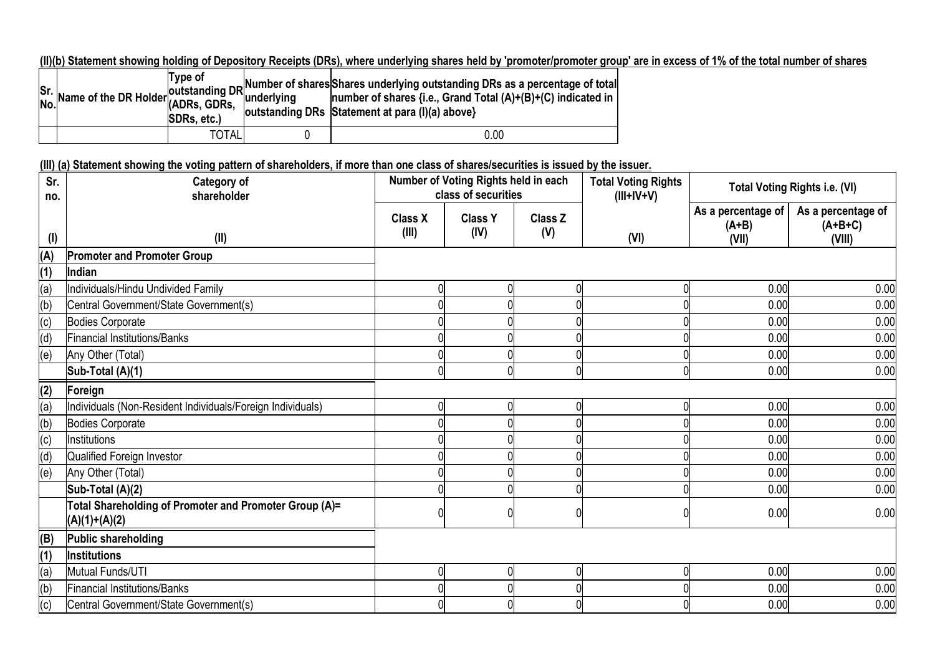**(II)(b) Statement showing holding of Depository Receipts (DRs), where underlying shares held by 'promoter/promoter group' are in excess of 1% of the total number of shares**

|  | Type of<br>SDRs. etc.) | $\begin{vmatrix} \n\text{S}r. \\ \text{Na}r. \\ \text{Na}r. \\ \text{Na}r. \\ \text{Na}r. \\ \text{Na}r. \\ \text{Na}r. \\ \text{Na}r. \\ \text{Na}r. \\ \text{Na}r. \\ \text{Na}r. \\ \text{Na}r. \\ \text{Na}r. \\ \text{Na}r. \\ \text{Na}r. \\ \text{Na}r. \\ \text{Na}r. \\ \text{Na}r. \\ \text{Na}r. \\ \text{Na}r. \\ \text{Na}r. \\ \text{Na}r. \\ \text{Na}r. \\ \text{Na}r. \\ \text{Na}r. \\ \text{Na}r. \\ \text{Na$<br>outstanding DRs Statement at para (I)(a) above} |
|--|------------------------|--------------------------------------------------------------------------------------------------------------------------------------------------------------------------------------------------------------------------------------------------------------------------------------------------------------------------------------------------------------------------------------------------------------------------------------------------------------------------------------|
|  | TOTAL                  | 0.00                                                                                                                                                                                                                                                                                                                                                                                                                                                                                 |

# **(III) (a) Statement showing the voting pattern of shareholders, if more than one class of shares/securities is issued by the issuer.**

| Sr.<br>no. | <b>Category of</b><br>shareholder                                         |                         | Number of Voting Rights held in each<br>class of securities |                | <b>Total Voting Rights</b><br>$(III+IV+V)$ |                                        | <b>Total Voting Rights i.e. (VI)</b>      |
|------------|---------------------------------------------------------------------------|-------------------------|-------------------------------------------------------------|----------------|--------------------------------------------|----------------------------------------|-------------------------------------------|
| $($ l $)$  | (II)                                                                      | <b>Class X</b><br>(III) | <b>Class Y</b><br>(IV)                                      | Class Z<br>(V) | (VI)                                       | As a percentage of<br>$(A+B)$<br>(VII) | As a percentage of<br>$(A+B+C)$<br>(VIII) |
| (A)        | <b>Promoter and Promoter Group</b>                                        |                         |                                                             |                |                                            |                                        |                                           |
| (1)        | Indian                                                                    |                         |                                                             |                |                                            |                                        |                                           |
| (a)        | Individuals/Hindu Undivided Family                                        |                         |                                                             |                |                                            | 0.00                                   | 0.00                                      |
| (b)        | Central Government/State Government(s)                                    |                         |                                                             |                |                                            | 0.00                                   | 0.00                                      |
| (c)        | Bodies Corporate                                                          |                         |                                                             |                |                                            | 0.00                                   | 0.00                                      |
| (d)        | <b>Financial Institutions/Banks</b>                                       |                         |                                                             |                |                                            | 0.00                                   | 0.00                                      |
| (e)        | Any Other (Total)                                                         |                         |                                                             |                |                                            | 0.00                                   | 0.00                                      |
|            | Sub-Total (A)(1)                                                          |                         |                                                             |                | 0                                          | 0.00                                   | 0.00                                      |
| (2)        | Foreign                                                                   |                         |                                                             |                |                                            |                                        |                                           |
| (a)        | Individuals (Non-Resident Individuals/Foreign Individuals)                |                         |                                                             |                |                                            | 0.00                                   | 0.00                                      |
| (b)        | Bodies Corporate                                                          |                         |                                                             |                |                                            | 0.00                                   | 0.00                                      |
| (c)        | Institutions                                                              |                         |                                                             |                |                                            | 0.00                                   | 0.00                                      |
| (d)        | Qualified Foreign Investor                                                |                         |                                                             |                |                                            | 0.00                                   | 0.00                                      |
| (e)        | Any Other (Total)                                                         |                         |                                                             |                |                                            | 0.00                                   | 0.00                                      |
|            | Sub-Total (A)(2)                                                          |                         |                                                             |                |                                            | 0.00                                   | 0.00                                      |
|            | Total Shareholding of Promoter and Promoter Group (A)=<br>$(A)(1)+(A)(2)$ |                         |                                                             |                |                                            | 0.00                                   | 0.00                                      |
| (B)        | Public shareholding                                                       |                         |                                                             |                |                                            |                                        |                                           |
| (1)        | Institutions                                                              |                         |                                                             |                |                                            |                                        |                                           |
| (a)        | Mutual Funds/UTI                                                          |                         | 0                                                           |                | 0                                          | 0.00                                   | 0.00                                      |
| (b)        | <b>Financial Institutions/Banks</b>                                       |                         |                                                             |                |                                            | 0.00                                   | 0.00                                      |
| (c)        | Central Government/State Government(s)                                    |                         |                                                             |                |                                            | 0.00                                   | 0.00                                      |